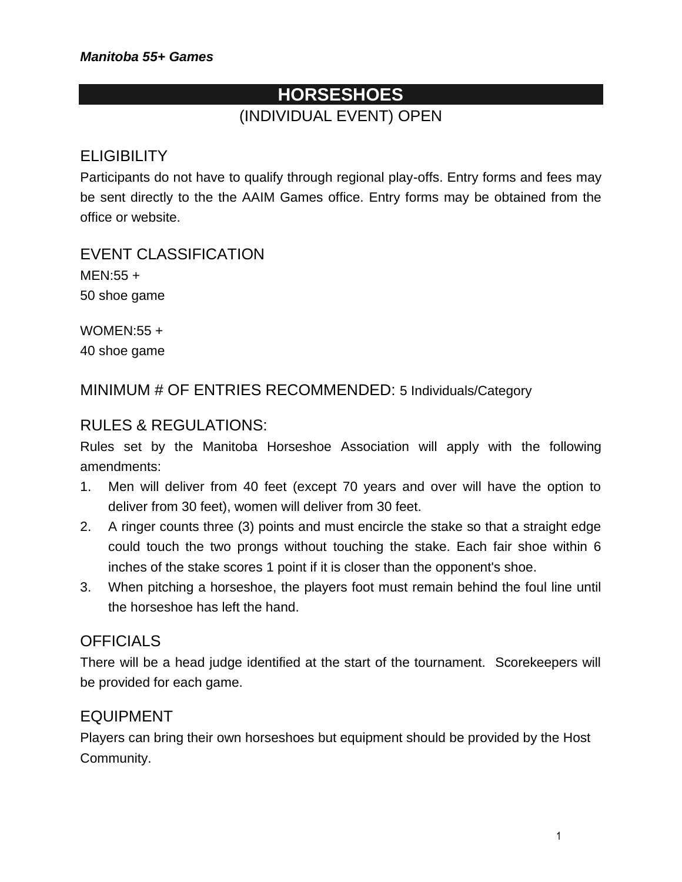# **HORSESHOES** (INDIVIDUAL EVENT) OPEN

# **ELIGIBILITY**

Participants do not have to qualify through regional play-offs. Entry forms and fees may be sent directly to the the AAIM Games office. Entry forms may be obtained from the office or website.

EVENT CLASSIFICATION MEN:55 + 50 shoe game

WOMEN:55 + 40 shoe game

MINIMUM # OF ENTRIES RECOMMENDED: 5 Individuals/Category

### RULES & REGULATIONS:

Rules set by the Manitoba Horseshoe Association will apply with the following amendments:

- 1. Men will deliver from 40 feet (except 70 years and over will have the option to deliver from 30 feet), women will deliver from 30 feet.
- 2. A ringer counts three (3) points and must encircle the stake so that a straight edge could touch the two prongs without touching the stake. Each fair shoe within 6 inches of the stake scores 1 point if it is closer than the opponent's shoe.
- 3. When pitching a horseshoe, the players foot must remain behind the foul line until the horseshoe has left the hand.

### **OFFICIALS**

There will be a head judge identified at the start of the tournament. Scorekeepers will be provided for each game.

### EQUIPMENT

Players can bring their own horseshoes but equipment should be provided by the Host Community.